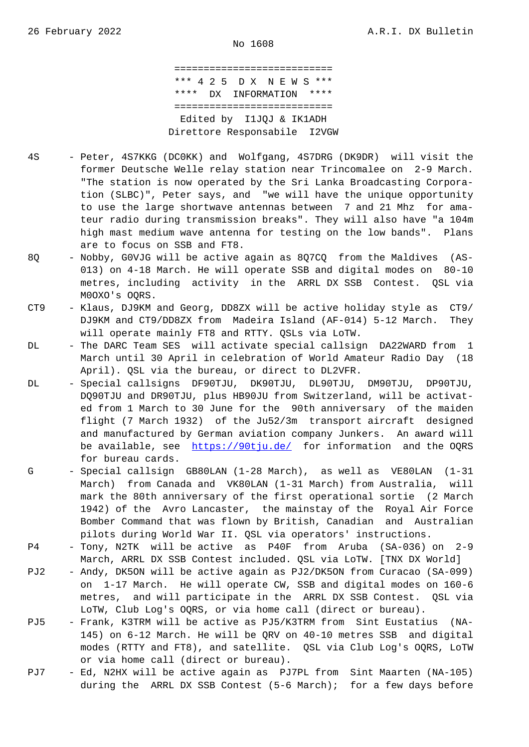=========================== \*\*\* 4 2 5 D X N E W S \*\*\* \*\*\*\* DX INFORMATION \*\*\*\* =========================== Edited by I1JQJ & IK1ADH Direttore Responsabile I2VGW

- 4S Peter, 4S7KKG (DC0KK) and Wolfgang, 4S7DRG (DK9DR) will visit the former Deutsche Welle relay station near Trincomalee on 2-9 March. "The station is now operated by the Sri Lanka Broadcasting Corpora tion (SLBC)", Peter says, and "we will have the unique opportunity to use the large shortwave antennas between 7 and 21 Mhz for ama teur radio during transmission breaks". They will also have "a 104m high mast medium wave antenna for testing on the low bands". Plans are to focus on SSB and FT8.
- 8Q Nobby, G0VJG will be active again as 8Q7CQ from the Maldives (AS- 013) on 4-18 March. He will operate SSB and digital modes on 80-10 metres, including activity in the ARRL DX SSB Contest. QSL via M0OXO's OQRS.
- CT9 Klaus, DJ9KM and Georg, DD8ZX will be active holiday style as CT9/ DJ9KM and CT9/DD8ZX from Madeira Island (AF-014) 5-12 March. They will operate mainly FT8 and RTTY. QSLs via LoTW.
- DL The DARC Team SES will activate special callsign DA22WARD from 1 March until 30 April in celebration of World Amateur Radio Day (18 April). QSL via the bureau, or direct to DL2VFR.
- DL Special callsigns DF90TJU, DK90TJU, DL90TJU, DM90TJU, DP90TJU, DQ90TJU and DR90TJU, plus HB90JU from Switzerland, will be activat ed from 1 March to 30 June for the 90th anniversary of the maiden flight (7 March 1932) of the Ju52/3m transport aircraft designed and manufactured by German aviation company Junkers. An award will be available, see https://90tju.de/ for information and the OQRS for bureau cards.
- G Special callsign GB80LAN (1-28 March), as well as VE80LAN (1-31) March) from Canada and VK80LAN (1-31 March) from Australia, will mark the 80th anniv[ersary of the fir](https://90tju.de/)st operational sortie (2 March 1942) of the Avro Lancaster, the mainstay of the Royal Air Force Bomber Command that was flown by British, Canadian and Australian pilots during World War II. QSL via operators' instructions.
- P4 Tony, N2TK will be active as P40F from Aruba (SA-036) on 2-9 March, ARRL DX SSB Contest included. QSL via LoTW. [TNX DX World]
- PJ2 Andy, DK5ON will be active again as PJ2/DK5ON from Curacao (SA-099) on 1-17 March. He will operate CW, SSB and digital modes on 160-6 metres, and will participate in the ARRL DX SSB Contest. QSL via LoTW, Club Log's OQRS, or via home call (direct or bureau).
- PJ5 Frank, K3TRM will be active as PJ5/K3TRM from Sint Eustatius (NA- 145) on 6-12 March. He will be QRV on 40-10 metres SSB and digital modes (RTTY and FT8), and satellite. QSL via Club Log's OQRS, LoTW or via home call (direct or bureau).
- PJ7 Ed, N2HX will be active again as PJ7PL from Sint Maarten (NA-105) during the ARRL DX SSB Contest (5-6 March); for a few days before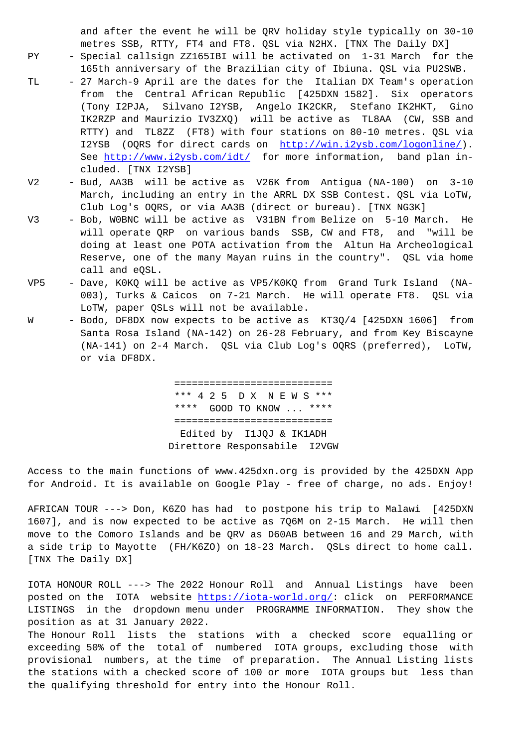metres SSB, RTTY, FT4 and FT8. QSL via N2HX. [TNX The Daily DX]

- PY Special callsign ZZ165IBI will be activated on 1-31 March for the 165th anniversary of the Brazilian city of Ibiuna. QSL via PU2SWB.
- TL 27 March-9 April are the dates for the Italian DX Team's operation from the Central African Republic [425DXN 1582]. Six operators (Tony I2PJA, Silvano I2YSB, Angelo IK2CKR, Stefano IK2HKT, Gino IK2RZP and Maurizio IV3ZXQ) will be active as TL8AA (CW, SSB and RTTY) and TL8ZZ (FT8) with four stations on 80-10 metres. QSL via I2YSB (OQRS for direct cards on http://win.i2ysb.com/logonline/). See http://www.i2ysb.com/idt/ for more information, band plan included. [TNX I2YSB]
- V2 Bud, AA3B will be active as V26K from Antigua (NA-100) on 3-10 March, including an entry in the A[RRL DX SSB Contest. QSL via LoTW](http://win.i2ysb.com/logonline/), Club [Log's OQRS, or via AA3B \(](http://www.i2ysb.com/idt/)direct or bureau). [TNX NG3K]
- V3 Bob, W0BNC will be active as V31BN from Belize on 5-10 March. He will operate QRP on various bands SSB, CW and FT8, and "will be doing at least one POTA activation from the Altun Ha Archeological Reserve, one of the many Mayan ruins in the country". QSL via home call and eQSL.
- VP5 Dave, K0KQ will be active as VP5/K0KQ from Grand Turk Island (NA- 003), Turks & Caicos on 7-21 March. He will operate FT8. QSL via LoTW, paper QSLs will not be available.
- W Bodo, DF8DX now expects to be active as KT3Q/4 [425DXN 1606] from Santa Rosa Island (NA-142) on 26-28 February, and from Key Biscayne (NA-141) on 2-4 March. QSL via Club Log's OQRS (preferred), LoTW, or via DF8DX.

 =========================== \*\*\* 4 2 5 D X N E W S \*\*\* \*\*\*\* GOOD TO KNOW ... \*\*\*\* =========================== Edited by I1JQJ & IK1ADH Direttore Responsabile I2VGW

Access to the main functions of www.425dxn.org is provided by the 425DXN App for Android. It is available on Google Play - free of charge, no ads. Enjoy!

AFRICAN TOUR ---> Don, K6ZO has had to postpone his trip to Malawi [425DXN 1607], and is now expected to be active as 7Q6M on 2-15 March. He will then move to the Comoro Islands and be QRV as D60AB between 16 and 29 March, with a side trip to Mayotte (FH/K6ZO) on 18-23 March. QSLs direct to home call. [TNX The Daily DX]

IOTA HONOUR ROLL ---> The 2022 Honour Roll and Annual Listings have been posted on the IOTA website https://iota-world.org/: click on PERFORMANCE LISTINGS in the dropdown menu under PROGRAMME INFORMATION. They show the position as at 31 January 2022.

The Honour Roll lists the stations with a checked score equalling or exceeding 50% of the total o[f numbered IOTA group](https://iota-world.org/)s, excluding those with provisional numbers, at the time of preparation. The Annual Listing lists the stations with a checked score of 100 or more IOTA groups but less than the qualifying threshold for entry into the Honour Roll.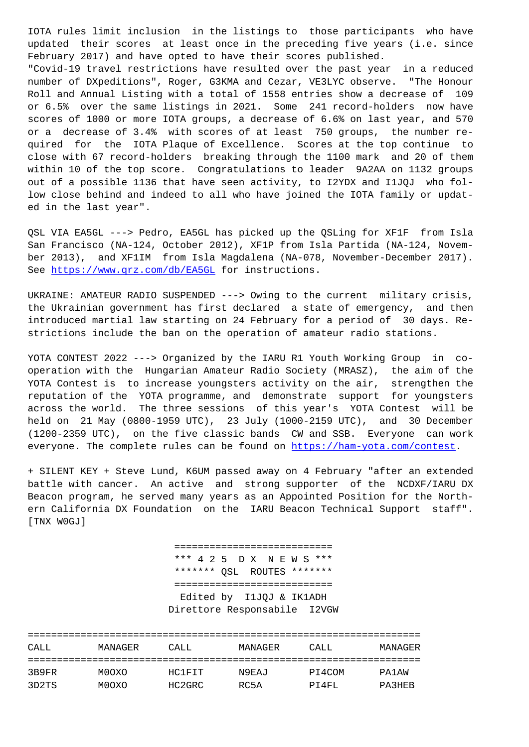updated their scores at least once in the preceding five years (i.e. since February 2017) and have opted to have their scores published.

"Covid-19 travel restrictions have resulted over the past year in a reduced number of DXpeditions", Roger, G3KMA and Cezar, VE3LYC observe. "The Honour Roll and Annual Listing with a total of 1558 entries show a decrease of 109 or 6.5% over the same listings in 2021. Some 241 record-holders now have scores of 1000 or more IOTA groups, a decrease of 6.6% on last year, and 570 or a decrease of 3.4% with scores of at least 750 groups, the number required for the IOTA Plaque of Excellence. Scores at the top continue to close with 67 record-holders breaking through the 1100 mark and 20 of them within 10 of the top score. Congratulations to leader 9A2AA on 1132 groups out of a possible 1136 that have seen activity, to I2YDX and I1JQJ who follow close behind and indeed to all who have joined the IOTA family or updated in the last year".

QSL VIA EA5GL ---> Pedro, EA5GL has picked up the QSLing for XF1F from Isla San Francisco (NA-124, October 2012), XF1P from Isla Partida (NA-124, November 2013), and XF1IM from Isla Magdalena (NA-078, November-December 2017). See https://www.qrz.com/db/EA5GL for instructions.

UKRAINE: AMATEUR RADIO SUSPENDED ---> Owing to the current military crisis, the [Ukrainian government has fir](https://www.qrz.com/db/EA5GL)st declared a state of emergency, and then introduced martial law starting on 24 February for a period of 30 days. Restrictions include the ban on the operation of amateur radio stations.

YOTA CONTEST 2022 ---> Organized by the IARU R1 Youth Working Group in cooperation with the Hungarian Amateur Radio Society (MRASZ), the aim of the YOTA Contest is to increase youngsters activity on the air, strengthen the reputation of the YOTA programme, and demonstrate support for youngsters across the world. The three sessions of this year's YOTA Contest will be held on 21 May (0800-1959 UTC), 23 July (1000-2159 UTC), and 30 December (1200-2359 UTC), on the five classic bands CW and SSB. Everyone can work everyone. The complete rules can be found on https://ham-yota.com/contest.

+ SILENT KEY + Steve Lund, K6UM passed away on 4 February "after an extended battle with cancer. An active and strong supporter of the NCDXF/IARU DX Beacon program, he served many years as an A[ppointed Position for the Nort](https://ham-yota.com/contest)hern California DX Foundation on the IARU Beacon Technical Support staff". [TNX W0GJ]

> =========================== \*\*\* 4 2 5 D X N E W S \*\*\* \*\*\*\*\*\*\* QSL ROUTES \*\*\*\*\*\*\* =========================== Edited by I1JQJ & IK1ADH Direttore Responsabile I2VGW

| CALL. | MANAGER | CALL.  | MANAGER | CALL.  | MANAGER |
|-------|---------|--------|---------|--------|---------|
|       |         |        |         |        |         |
| 3B9FR | M0OXO   | HC1FTT | N9EAJ   | PI4COM | PA1AW   |
| 3D2TS | M0OXO   | HC2GRC | RC5A    | PT4FL  | PA3HEB  |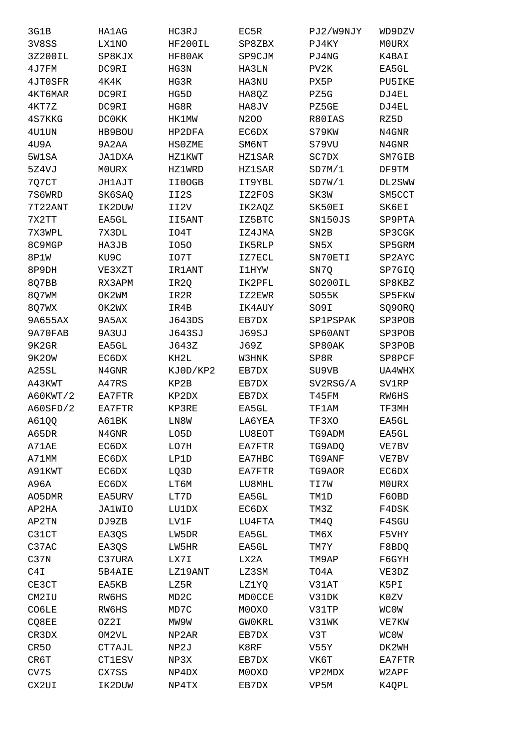| 3G1B             | <b>HA1AG</b>   | HC3RJ             | EC5R          | PJ2/W9NJY       | WD9DZV           |
|------------------|----------------|-------------------|---------------|-----------------|------------------|
| 3V8SS            | LX1NO          | HF200IL           | SP8ZBX        | PJ4KY           | <b>MOURX</b>     |
| 3Z200IL          | SP8KJX         | HF80AK            | SP9CJM        | PJ4NG           | K4BAI            |
| 4J7FM            | DC9RI          | HG3N              | HA3LN         | PV2K            | EA5GL            |
| 4JT0SFR          | 4K4K           | HG3R              | HA3NU         | PX5P            | PU5IKE           |
| 4KT6MAR          | DC9RI          | HG5D              | HA8QZ         | PZ5G            | DJ4EL            |
| 4KT7Z            | DC9RI          | HG8R              | HA8JV         | PZ5GE           | DJ4EL            |
| 4S7KKG           | <b>DC0KK</b>   | HK1MW             | N200          | R80IAS          | RZ5D             |
| 4U1UN            | HB9BOU         | HP2DFA            | EC6DX         | S79KW           | N4GNR            |
| 4U9A             | 9A2AA          | <b>HSOZME</b>     | SM6NT         | S79VU           | N4GNR            |
| 5W1SA            | JA1DXA         | HZ1KWT            | HZ1SAR        | SC7DX           | SM7GIB           |
| 5Z4VJ            | M0URX          | HZ1WRD            | <b>HZ1SAR</b> | SD7M/1          | DF9TM            |
| 7Q7CT            | JH1AJT         | II0OGB            | IT9YBL        | SD7W/1          | DL2SWW           |
| 7S6WRD           | SK6SAQ         | II2S              | IZ2FOS        | SK3W            | SM5CCT           |
| 7T22ANT          | IK2DUW         | II2V              | IK2AQZ        | SK50EI          | SK6EI            |
| 7X2TT            | EA5GL          | II5ANT            | IZ5BTC        | SN150JS         | SP9PTA           |
| 7X3WPL           | 7X3DL          | IO4T              | IZ4JMA        | SN2B            | SP3CGK           |
| 8C9MGP           | HA3JB          | I050              | IK5RLP        | SN5X            | SP5GRM           |
| 8P1W             | KU9C           | IO7T              | IZ7ECL        | SN70ETI         | SP2AYC           |
| 8P9DH            | VE3XZT         | <b>IR1ANT</b>     | 11HYW         | SN7Q            | SP7GIQ           |
| 8Q7BB            | RX3APM         | IR2Q              | IK2PFL        | SO200IL         | SP8KBZ           |
| 8Q7WM            | OK2WM          | IR2R              | IZ2EWR        | SO55K           | SP5FKW           |
| 8Q7WX            | OK2WX          | IR4B              | IK4AUY        | SO9I            | SQ90RQ           |
| 9A655AX          | 9A5AX          | J643DS            | EB7DX         | <b>SP1PSPAK</b> | SP3POB           |
| 9A70FAB          | 9A3UJ          | J643SJ            | <b>J69SJ</b>  | SP60ANT         | SP3POB           |
|                  |                |                   |               |                 |                  |
| 9K2GR<br>9K2OW   | EA5GL<br>EC6DX | J643Z<br>KH2L     | J69Z<br>W3HNK | SP80AK<br>SP8R  | SP3POB<br>SP8PCF |
| A25SL            | N4GNR          | KJ0D/KP2          |               |                 |                  |
|                  |                |                   | EB7DX         | SU9VB           | UA4WHX           |
| A43KWT           | A47RS          | KP2B              | EB7DX         | SV2RSG/A        | <b>SV1RP</b>     |
| A60KWT/2         | EA7FTR         | KP2DX             | EB7DX         | T45FM           | RW6HS            |
| A60SFD/2         | EA7FTR         | KP3RE             | EA5GL         | TF1AM           | TF3MH            |
| A61QQ            | A61BK          | LN8W              | LA6YEA        | TF3XO           | EA5GL            |
| A65DR            | N4GNR          | LO5D              | LU8EOT        | TG9ADM          | EA5GL            |
| A71AE            | EC6DX          | LO7H              | EA7FTR        | TG9ADQ          | VE7BV            |
| A71MM            | EC6DX          | LP1D              | EA7HBC        | TG9ANF          | VE7BV            |
| A91KWT           | EC6DX          | LQ3D              | EA7FTR        | TG9AOR          | EC6DX            |
| A96A             | EC6DX          | LT6M              | LU8MHL        | TI7W            | <b>MOURX</b>     |
| AO5DMR           | EA5URV         | LT7D              | EA5GL         | TM1D            | F60BD            |
| AP2HA            | JA1WIO         | LU1DX             | EC6DX         | TM3Z            | F4DSK            |
| AP2TN            | DJ9ZB          | LV1F              | LU4FTA        | TM4Q            | F4SGU            |
| C31CT            | EA3QS          | LW5DR             | EA5GL         | TM6X            | F5VHY            |
| C37AC            | EA3QS          | LW5HR             | EA5GL         | TM7Y            | F8BDQ            |
| C37N             | C37URA         | LX7I              | LX2A          | TM9AP           | F6GYH            |
| C4I              | 5B4AIE         | LZ19ANT           | LZ3SM         | TO4A            | VE3DZ            |
| CE3CT            | EA5KB          | LZ5R              | LZ1YQ         | V31AT           | K5PI             |
| CM2IU            | RW6HS          | MD <sub>2</sub> C | <b>MDOCCE</b> | V31DK           | K0ZV             |
| CO6LE            | RW6HS          | MD7C              | M0OXO         | V31TP           | <b>WCOW</b>      |
| CQ8EE            | OZ2I           | MW9W              | <b>GWOKRL</b> | V31WK           | VE7KW            |
| CR3DX            | OM2VL          | NP2AR             | EB7DX         | V3T             | <b>MCOM</b>      |
| CR <sub>50</sub> | CT7AJL         | NP2J              | K8RF          | V55Y            | DK2WH            |
| CR6T             | CT1ESV         | NP3X              | EB7DX         | VK6T            | EA7FTR           |
| CV7S             | CX7SS          | NP4DX             | M0OXO         | VP2MDX          | W2APF            |
| CX2UI            | IK2DUW         | NP4TX             | EB7DX         | VP5M            | K4QPL            |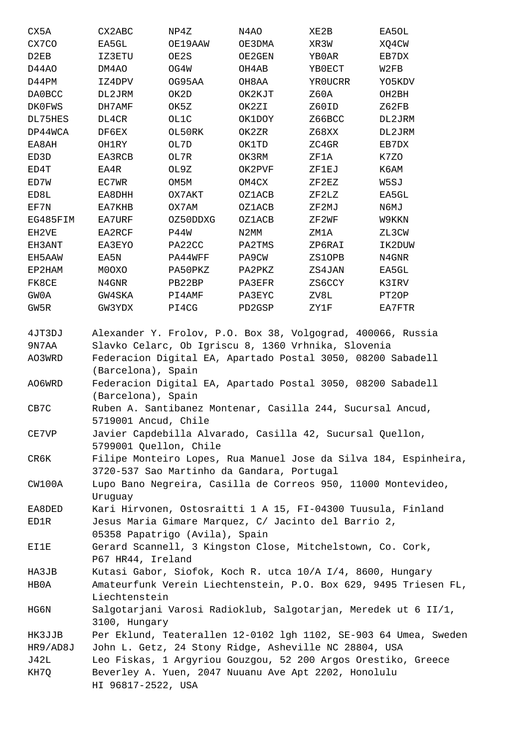| CX5A          | CX2ABC                                                      | NP4Z     | N4AO   | XE2B    | EA5OL  |
|---------------|-------------------------------------------------------------|----------|--------|---------|--------|
| CX7CO         | EA5GL                                                       | OE19AAW  | OE3DMA | XR3W    | XQ4CW  |
| D2EB          | IZ3ETU                                                      | OE2S     | OE2GEN | YB0AR   | EB7DX  |
| D44AO         | DM4AO                                                       | OG4W     | OH4AB  | YB0ECT  | W2FB   |
| D44PM         | IZ4DPV                                                      | OG95AA   | OH8AA  | YR0UCRR | YO5KDV |
| DA0BCC        | DL2JRM                                                      | OK2D     | OK2KJT | Z60A    | OH2BH  |
| <b>DK0FWS</b> | DH7AMF                                                      | OK5Z     | OK2ZI  | Z60ID   | Z62FB  |
| DL75HES       | DL4CR                                                       | OL1C     | OK1DOY | Z66BCC  | DL2JRM |
| DP44WCA       | DF6EX                                                       | OL50RK   | OK2ZR  | Z68XX   | DL2JRM |
| EA8AH         | OH1RY                                                       | OL7D     | OK1TD  | ZC4GR   | EB7DX  |
| ED3D          | EA3RCB                                                      | OL7R     | OK3RM  | ZF1A    | K7ZO   |
| ED4T          | EA4R                                                        | OL9Z     | OK2PVF | ZF1EJ   | КбАМ   |
| ED7W          | EC7WR                                                       | OM5M     | OM4CX  | ZF2EZ   | W5SJ   |
| ED8L          | EA8DHH                                                      | OX7AKT   | OZ1ACB | ZF2LZ   | EA5GL  |
| EF7N          | EA7KHB                                                      | OX7AM    | OZ1ACB | ZF2MJ   | N6MJ   |
| EG485FIM      | EA7URF                                                      | OZ50DDXG | OZ1ACB | ZF2WF   | W9KKN  |
| EH2VE         | EA2RCF                                                      | P44W     | N2MM   | ZM1A    | ZL3CW  |
| EH3ANT        | EA3EYO                                                      | PA22CC   | PA2TMS | ZP6RAI  | IK2DUW |
| EH5AAW        | EA5N                                                        | PA44WFF  | PA9CW  | ZS1OPB  | N4GNR  |
| EP2HAM        | M0OXO                                                       | PA50PKZ  | PA2PKZ | ZS4JAN  | EA5GL  |
| FK8CE         | N4GNR                                                       | PB22BP   | PA3EFR | ZS6CCY  | K3IRV  |
| GW0A          | GW4SKA                                                      | PI4AMF   | PA3EYC | ZV8L    | PT2OP  |
| GW5R          | GW3YDX                                                      | PI4CG    | PD2GSP | ZY1F    | EA7FTR |
| 4JT3DJ        | Alexander Y. Frolov, P.O. Box 38, Volgograd, 400066, Russia |          |        |         |        |
| 9N7AA         | Slavko Celarc, Ob Igriscu 8, 1360 Vrhnika, Slovenia         |          |        |         |        |
| AO3WRD        | Federacion Digital EA, Apartado Postal 3050, 08200 Sabadell |          |        |         |        |

 (Barcelona), Spain AO6WRD Federacion Digital EA, Apartado Postal 3050, 08200 Sabadell

(Barcelona), Spain

CB7C Ruben A. Santibanez Montenar, Casilla 244, Sucursal Ancud, 5719001 Ancud, Chile

CE7VP Javier Capdebilla Alvarado, Casilla 42, Sucursal Quellon, 5799001 Quellon, Chile

CR6K Filipe Monteiro Lopes, Rua Manuel Jose da Silva 184, Espinheira, 3720-537 Sao Martinho da Gandara, Portugal

CW100A Lupo Bano Negreira, Casilla de Correos 950, 11000 Montevideo, Uruguay

EA8DED Kari Hirvonen, Ostosraitti 1 A 15, FI-04300 Tuusula, Finland ED1R Jesus Maria Gimare Marquez, C/ Jacinto del Barrio 2, 05358 Papatrigo (Avila), Spain

EI1E Gerard Scannell, 3 Kingston Close, Mitchelstown, Co. Cork, P67 HR44, Ireland

HA3JB Kutasi Gabor, Siofok, Koch R. utca 10/A I/4, 8600, Hungary HB0A Amateurfunk Verein Liechtenstein, P.O. Box 629, 9495 Triesen FL, Liechtenstein

HG6N Salgotarjani Varosi Radioklub, Salgotarjan, Meredek ut 6 II/1, 3100, Hungary

HK3JJB Per Eklund, Teaterallen 12-0102 lgh 1102, SE-903 64 Umea, Sweden HR9/AD8J John L. Getz, 24 Stony Ridge, Asheville NC 28804, USA

J42L Leo Fiskas, 1 Argyriou Gouzgou, 52 200 Argos Orestiko, Greece KH7Q Beverley A. Yuen, 2047 Nuuanu Ave Apt 2202, Honolulu HI 96817-2522, USA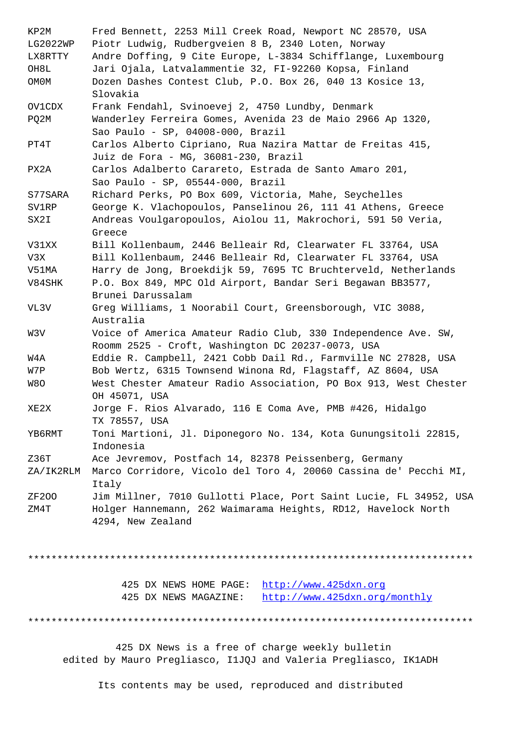LG2022WP Piotr Ludwig, Rudbergveien 8 B, 2340 Loten, Norway LX8RTTY Andre Doffing, 9 Cite Europe, L-3834 Schifflange, Luxembourg OH8L Jari Ojala, Latvalammentie 32, FI-92260 Kopsa, Finland OM0M Dozen Dashes Contest Club, P.O. Box 26, 040 13 Kosice 13, Slovakia OV1CDX Frank Fendahl, Svinoevej 2, 4750 Lundby, Denmark PQ2M Wanderley Ferreira Gomes, Avenida 23 de Maio 2966 Ap 1320, Sao Paulo - SP, 04008-000, Brazil PT4T Carlos Alberto Cipriano, Rua Nazira Mattar de Freitas 415, Juiz de Fora - MG, 36081-230, Brazil PX2A Carlos Adalberto Carareto, Estrada de Santo Amaro 201, Sao Paulo - SP, 05544-000, Brazil S77SARA Richard Perks, PO Box 609, Victoria, Mahe, Seychelles SV1RP George K. Vlachopoulos, Panselinou 26, 111 41 Athens, Greece SX2I Andreas Voulgaropoulos, Aiolou 11, Makrochori, 591 50 Veria, Greece V31XX Bill Kollenbaum, 2446 Belleair Rd, Clearwater FL 33764, USA V3X Bill Kollenbaum, 2446 Belleair Rd, Clearwater FL 33764, USA V51MA Harry de Jong, Broekdijk 59, 7695 TC Bruchterveld, Netherlands V84SHK P.O. Box 849, MPC Old Airport, Bandar Seri Begawan BB3577, Brunei Darussalam VL3V Greg Williams, 1 Noorabil Court, Greensborough, VIC 3088, Australia W3V Voice of America Amateur Radio Club, 330 Independence Ave. SW, Roomm 2525 - Croft, Washington DC 20237-0073, USA W4A Eddie R. Campbell, 2421 Cobb Dail Rd., Farmville NC 27828, USA W7P Bob Wertz, 6315 Townsend Winona Rd, Flagstaff, AZ 8604, USA W8O West Chester Amateur Radio Association, PO Box 913, West Chester OH 45071, USA XE2X Jorge F. Rios Alvarado, 116 E Coma Ave, PMB #426, Hidalgo TX 78557, USA YB6RMT Toni Martioni, Jl. Diponegoro No. 134, Kota Gunungsitoli 22815, Indonesia Z36T Ace Jevremov, Postfach 14, 82378 Peissenberg, Germany ZA/IK2RLM Marco Corridore, Vicolo del Toro 4, 20060 Cassina de' Pecchi MI, Italy ZF2OO Jim Millner, 7010 Gullotti Place, Port Saint Lucie, FL 34952, USA ZM4T Holger Hannemann, 262 Waimarama Heights, RD12, Havelock North 4294, New Zealand

\*\*\*\*\*\*\*\*\*\*\*\*\*\*\*\*\*\*\*\*\*\*\*\*\*\*\*\*\*\*\*\*\*\*\*\*\*\*\*\*\*\*\*\*\*\*\*\*\*\*\*\*\*\*\*\*\*\*\*\*\*\*\*\*\*\*\*\*\*\*\*\*\*\*\*\*

|                       | 425 DX NEWS HOME PAGE: http://www.425dxn.org |
|-----------------------|----------------------------------------------|
| 425 DX NEWS MAGAZINE: | http://www.425dxn.org/monthly                |

\*\*\*\*\*\*\*\*\*\*\*\*\*\*\*\*\*\*\*\*\*\*\*\*\*\*\*\*\*\*\*\*\*\*\*\*\*\*\*[\\*\\*\\*\\*\\*\\*\\*\\*\\*\\*\\*\\*\\*\\*\\*\\*\\*\\*\\*\\*\\*\\*\\*](http://www.425dxn.org)\*\*\*\*\*\*\*\*\*\*\*\*\*\*

 425 DX News is a free of [charge weekly bulletin](http://www.425dxn.org/monthly) edited by Mauro Pregliasco, I1JQJ and Valeria Pregliasco, IK1ADH

Its contents may be used, reproduced and distributed